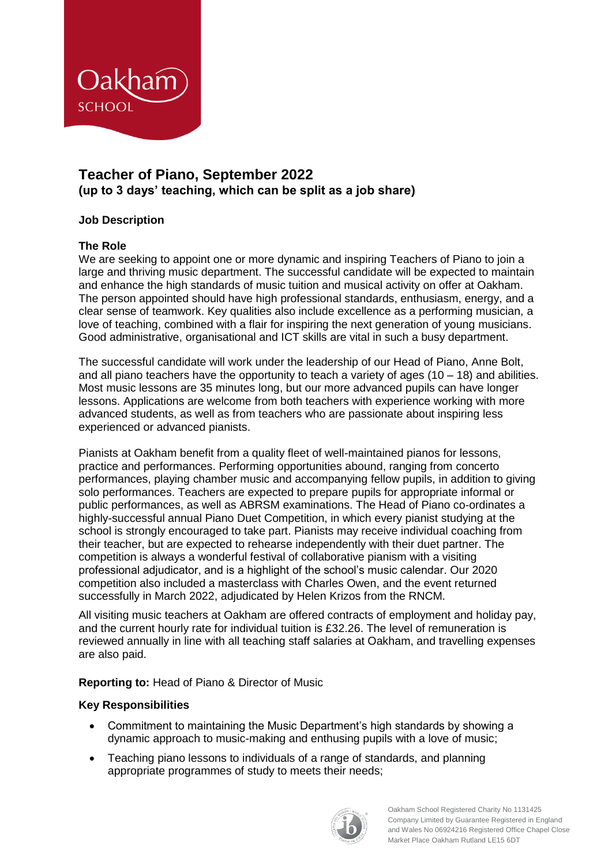

# **Teacher of Piano, September 2022 (up to 3 days' teaching, which can be split as a job share)**

## **Job Description**

### **The Role**

We are seeking to appoint one or more dynamic and inspiring Teachers of Piano to join a large and thriving music department. The successful candidate will be expected to maintain and enhance the high standards of music tuition and musical activity on offer at Oakham. The person appointed should have high professional standards, enthusiasm, energy, and a clear sense of teamwork. Key qualities also include excellence as a performing musician, a love of teaching, combined with a flair for inspiring the next generation of young musicians. Good administrative, organisational and ICT skills are vital in such a busy department.

The successful candidate will work under the leadership of our Head of Piano, Anne Bolt, and all piano teachers have the opportunity to teach a variety of ages  $(10 - 18)$  and abilities. Most music lessons are 35 minutes long, but our more advanced pupils can have longer lessons. Applications are welcome from both teachers with experience working with more advanced students, as well as from teachers who are passionate about inspiring less experienced or advanced pianists.

Pianists at Oakham benefit from a quality fleet of well-maintained pianos for lessons, practice and performances. Performing opportunities abound, ranging from concerto performances, playing chamber music and accompanying fellow pupils, in addition to giving solo performances. Teachers are expected to prepare pupils for appropriate informal or public performances, as well as ABRSM examinations. The Head of Piano co-ordinates a highly-successful annual Piano Duet Competition, in which every pianist studying at the school is strongly encouraged to take part. Pianists may receive individual coaching from their teacher, but are expected to rehearse independently with their duet partner. The competition is always a wonderful festival of collaborative pianism with a visiting professional adjudicator, and is a highlight of the school's music calendar. Our 2020 competition also included a masterclass with Charles Owen, and the event returned successfully in March 2022, adjudicated by Helen Krizos from the RNCM.

All visiting music teachers at Oakham are offered contracts of employment and holiday pay, and the current hourly rate for individual tuition is £32.26. The level of remuneration is reviewed annually in line with all teaching staff salaries at Oakham, and travelling expenses are also paid.

**Reporting to:** Head of Piano & Director of Music

### **Key Responsibilities**

- Commitment to maintaining the Music Department's high standards by showing a dynamic approach to music-making and enthusing pupils with a love of music;
- Teaching piano lessons to individuals of a range of standards, and planning appropriate programmes of study to meets their needs;



Oakham School Registered Charity No 1131425 Company Limited by Guarantee Registered in England and Wales No 06924216 Registered Office Chapel Close Market Place Oakham Rutland LE15 6DT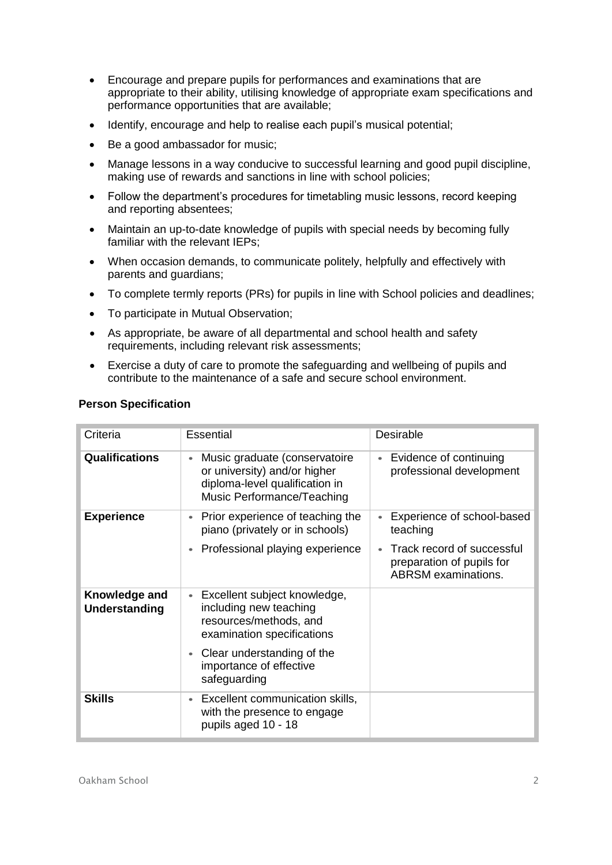- Encourage and prepare pupils for performances and examinations that are appropriate to their ability, utilising knowledge of appropriate exam specifications and performance opportunities that are available;
- Identify, encourage and help to realise each pupil's musical potential;
- Be a good ambassador for music;
- Manage lessons in a way conducive to successful learning and good pupil discipline, making use of rewards and sanctions in line with school policies;
- Follow the department's procedures for timetabling music lessons, record keeping and reporting absentees;
- Maintain an up-to-date knowledge of pupils with special needs by becoming fully familiar with the relevant IEPs;
- When occasion demands, to communicate politely, helpfully and effectively with parents and guardians;
- To complete termly reports (PRs) for pupils in line with School policies and deadlines;
- To participate in Mutual Observation;
- As appropriate, be aware of all departmental and school health and safety requirements, including relevant risk assessments;
- Exercise a duty of care to promote the safeguarding and wellbeing of pupils and contribute to the maintenance of a safe and secure school environment.

| Criteria                       | <b>Essential</b>                                                                                                                           | Desirable                                                                             |
|--------------------------------|--------------------------------------------------------------------------------------------------------------------------------------------|---------------------------------------------------------------------------------------|
| <b>Qualifications</b>          | Music graduate (conservatoire<br>$\bullet$<br>or university) and/or higher<br>diploma-level qualification in<br>Music Performance/Teaching | Evidence of continuing<br>$\bullet$<br>professional development                       |
| <b>Experience</b>              | Prior experience of teaching the<br>$\bullet$<br>piano (privately or in schools)                                                           | Experience of school-based<br>teaching                                                |
|                                | Professional playing experience<br>$\bullet$                                                                                               | Track record of successful<br>preparation of pupils for<br><b>ABRSM</b> examinations. |
| Knowledge and<br>Understanding | Excellent subject knowledge,<br>$\bullet$<br>including new teaching<br>resources/methods, and<br>examination specifications                |                                                                                       |
|                                | Clear understanding of the<br>$\bullet$<br>importance of effective<br>safeguarding                                                         |                                                                                       |
| <b>Skills</b>                  | Excellent communication skills,<br>$\bullet$<br>with the presence to engage<br>pupils aged 10 - 18                                         |                                                                                       |

#### **Person Specification**